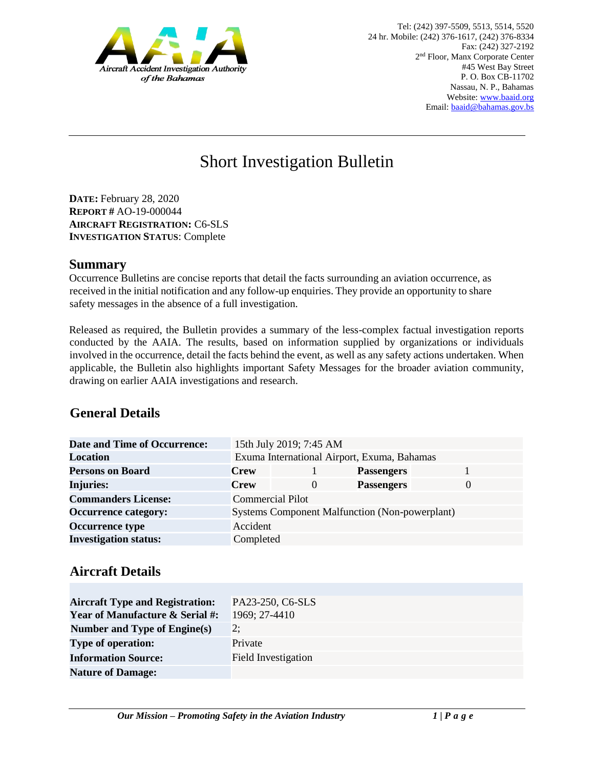

# Short Investigation Bulletin

**DATE:** February 28, 2020 **REPORT #** AO-19-000044 **AIRCRAFT REGISTRATION:** C6-SLS **INVESTIGATION STATUS**: Complete

#### **Summary**

Occurrence Bulletins are concise reports that detail the facts surrounding an aviation occurrence, as received in the initial notification and any follow-up enquiries. They provide an opportunity to share safety messages in the absence of a full investigation*.* 

Released as required, the Bulletin provides a summary of the less-complex factual investigation reports conducted by the AAIA. The results, based on information supplied by organizations or individuals involved in the occurrence, detail the facts behind the event, as well as any safety actions undertaken. When applicable, the Bulletin also highlights important Safety Messages for the broader aviation community, drawing on earlier AAIA investigations and research.

# **General Details**

| <b>Date and Time of Occurrence:</b> |                                             | 15th July 2019; 7:45 AM                               |                   |          |
|-------------------------------------|---------------------------------------------|-------------------------------------------------------|-------------------|----------|
| <b>Location</b>                     | Exuma International Airport, Exuma, Bahamas |                                                       |                   |          |
| <b>Persons on Board</b>             | <b>Crew</b>                                 |                                                       | <b>Passengers</b> |          |
| <b>Injuries:</b>                    | <b>Crew</b>                                 | $\Omega$                                              | <b>Passengers</b> | $\theta$ |
| <b>Commanders License:</b>          |                                             | <b>Commercial Pilot</b>                               |                   |          |
| <b>Occurrence category:</b>         |                                             | <b>Systems Component Malfunction (Non-powerplant)</b> |                   |          |
| <b>Occurrence type</b>              | Accident                                    |                                                       |                   |          |
| <b>Investigation status:</b>        | Completed                                   |                                                       |                   |          |

## **Aircraft Details**

| <b>Aircraft Type and Registration:</b>     | PA23-250, C6-SLS           |
|--------------------------------------------|----------------------------|
| <b>Year of Manufacture &amp; Serial #:</b> | 1969; 27-4410              |
| Number and Type of Engine(s)               | 2:                         |
| <b>Type of operation:</b>                  | Private                    |
| <b>Information Source:</b>                 | <b>Field Investigation</b> |
| <b>Nature of Damage:</b>                   |                            |